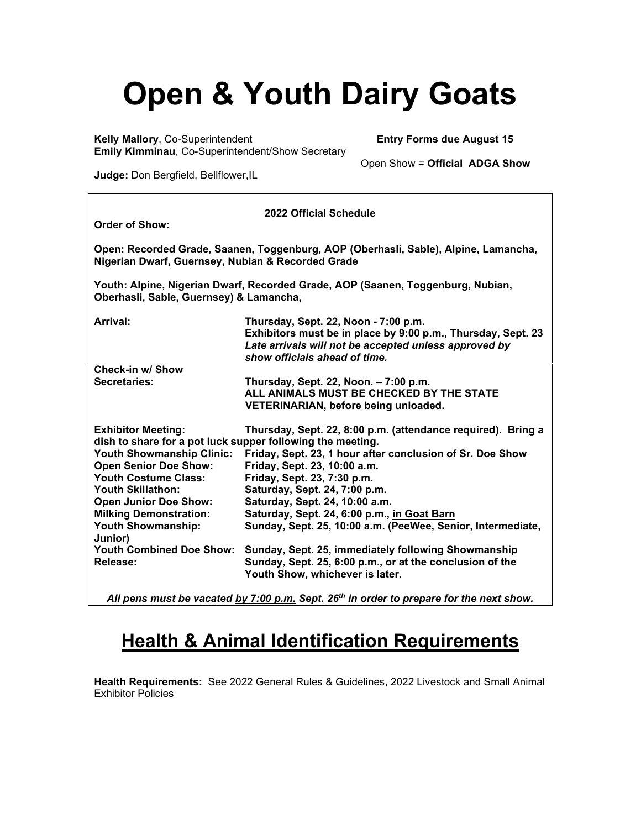# **Open & Youth Dairy Goats**<br>Mallory, Co-Superintendent<br>Entry Forms due August 15

**Kelly Mallory, Co-Superintendent Emily Kimminau**, Co-Superintendent/Show Secretary

Open Show = **Official ADGA Show**

**Judge:** Don Bergfield, Bellflower,IL

| 2022 Official Schedule                                                                                                                   |                                                                                                                                                                                                |  |  |  |
|------------------------------------------------------------------------------------------------------------------------------------------|------------------------------------------------------------------------------------------------------------------------------------------------------------------------------------------------|--|--|--|
| <b>Order of Show:</b>                                                                                                                    |                                                                                                                                                                                                |  |  |  |
| Open: Recorded Grade, Saanen, Toggenburg, AOP (Oberhasli, Sable), Alpine, Lamancha,<br>Nigerian Dwarf, Guernsey, Nubian & Recorded Grade |                                                                                                                                                                                                |  |  |  |
| Youth: Alpine, Nigerian Dwarf, Recorded Grade, AOP (Saanen, Toggenburg, Nubian,<br>Oberhasli, Sable, Guernsey) & Lamancha,               |                                                                                                                                                                                                |  |  |  |
| Arrival:                                                                                                                                 | Thursday, Sept. 22, Noon - 7:00 p.m.<br>Exhibitors must be in place by 9:00 p.m., Thursday, Sept. 23<br>Late arrivals will not be accepted unless approved by<br>show officials ahead of time. |  |  |  |
| Check-in w/ Show                                                                                                                         |                                                                                                                                                                                                |  |  |  |
| Secretaries:                                                                                                                             | Thursday, Sept. 22, Noon. - 7:00 p.m.<br>ALL ANIMALS MUST BE CHECKED BY THE STATE<br>VETERINARIAN, before being unloaded.                                                                      |  |  |  |
| <b>Exhibitor Meeting:</b><br>dish to share for a pot luck supper following the meeting.                                                  | Thursday, Sept. 22, 8:00 p.m. (attendance required). Bring a                                                                                                                                   |  |  |  |
| <b>Youth Showmanship Clinic:</b><br><b>Open Senior Doe Show:</b>                                                                         | Friday, Sept. 23, 1 hour after conclusion of Sr. Doe Show<br>Friday, Sept. 23, 10:00 a.m.                                                                                                      |  |  |  |
| <b>Youth Costume Class:</b>                                                                                                              | Friday, Sept. 23, 7:30 p.m.                                                                                                                                                                    |  |  |  |
| <b>Youth Skillathon:</b>                                                                                                                 | Saturday, Sept. 24, 7:00 p.m.                                                                                                                                                                  |  |  |  |
| <b>Open Junior Doe Show:</b><br><b>Milking Demonstration:</b>                                                                            | Saturday, Sept. 24, 10:00 a.m.<br>Saturday, Sept. 24, 6:00 p.m., in Goat Barn                                                                                                                  |  |  |  |
| <b>Youth Showmanship:</b><br>Junior)                                                                                                     | Sunday, Sept. 25, 10:00 a.m. (PeeWee, Senior, Intermediate,                                                                                                                                    |  |  |  |
| <b>Youth Combined Doe Show:</b><br>Release:                                                                                              | Sunday, Sept. 25, immediately following Showmanship<br>Sunday, Sept. 25, 6:00 p.m., or at the conclusion of the<br>Youth Show, whichever is later.                                             |  |  |  |
|                                                                                                                                          |                                                                                                                                                                                                |  |  |  |

*All pens must be vacated by 7:00 p.m. Sept. 26th in order to prepare for the next show.*

# **Health & Animal Identification Requirements**

**Health Requirements:** See 2022 General Rules & Guidelines, 2022 Livestock and Small Animal Exhibitor Policies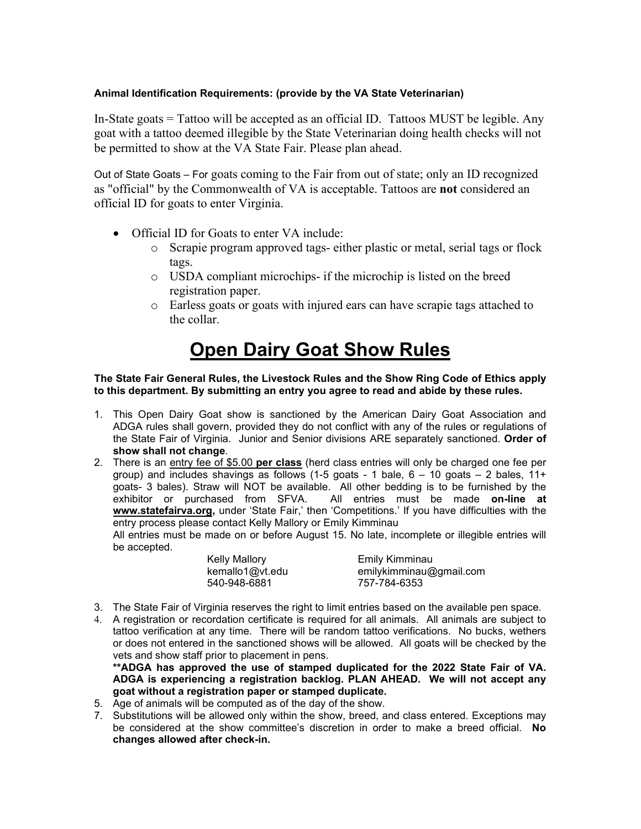## **Animal Identification Requirements: (provide by the VA State Veterinarian)**

In-State goats = Tattoo will be accepted as an official ID. Tattoos MUST be legible. Any goat with a tattoo deemed illegible by the State Veterinarian doing health checks will not be permitted to show at the VA State Fair. Please plan ahead.

Out of State Goats – For goats coming to the Fair from out of state; only an ID recognized as "official" by the Commonwealth of VA is acceptable. Tattoos are **not** considered an official ID for goats to enter Virginia.

- Official ID for Goats to enter VA include:
	- o Scrapie program approved tags- either plastic or metal, serial tags or flock tags.
	- o USDA compliant microchips- if the microchip is listed on the breed registration paper.
	- o Earless goats or goats with injured ears can have scrapie tags attached to the collar.

## **Open Dairy Goat Show Rules**

#### **The State Fair General Rules, the Livestock Rules and the Show Ring Code of Ethics apply to this department. By submitting an entry you agree to read and abide by these rules.**

- 1. This Open Dairy Goat show is sanctioned by the American Dairy Goat Association and ADGA rules shall govern, provided they do not conflict with any of the rules or regulations of the State Fair of Virginia. Junior and Senior divisions ARE separately sanctioned. **Order of show shall not change**.
- 2. There is an entry fee of \$5.00 **per class** (herd class entries will only be charged one fee per group) and includes shavings as follows (1-5 goats - 1 bale,  $6 - 10$  goats  $- 2$  bales, 11+ goats- 3 bales). Straw will NOT be available. All other bedding is to be furnished by the exhibitor or purchased from SFVA. All entries must be made **on-line at www.statefairva.org,** under 'State Fair,' then 'Competitions.' If you have difficulties with the entry process please contact Kelly Mallory or Emily Kimminau

All entries must be made on or before August 15. No late, incomplete or illegible entries will be accepted.

| Kelly Mallory   | Emily Kimminau          |
|-----------------|-------------------------|
| kemallo1@vt.edu | emilykimminau@gmail.com |
| 540-948-6881    | 757-784-6353            |

- 3. The State Fair of Virginia reserves the right to limit entries based on the available pen space.
- 4. A registration or recordation certificate is required for all animals. All animals are subject to tattoo verification at any time. There will be random tattoo verifications. No bucks, wethers or does not entered in the sanctioned shows will be allowed. All goats will be checked by the vets and show staff prior to placement in pens.

**\*\*ADGA has approved the use of stamped duplicated for the 2022 State Fair of VA. ADGA is experiencing a registration backlog. PLAN AHEAD. We will not accept any goat without a registration paper or stamped duplicate.** 

- 5. Age of animals will be computed as of the day of the show.
- 7. Substitutions will be allowed only within the show, breed, and class entered. Exceptions may be considered at the show committee's discretion in order to make a breed official. **No changes allowed after check-in.**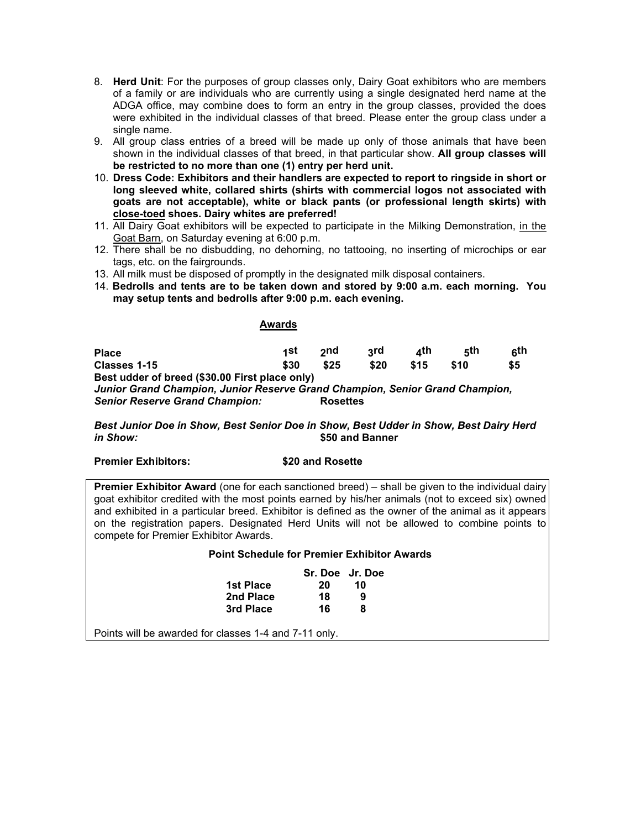- 8. **Herd Unit**: For the purposes of group classes only, Dairy Goat exhibitors who are members of a family or are individuals who are currently using a single designated herd name at the ADGA office, may combine does to form an entry in the group classes, provided the does were exhibited in the individual classes of that breed. Please enter the group class under a single name.
- 9. All group class entries of a breed will be made up only of those animals that have been shown in the individual classes of that breed, in that particular show. **All group classes will be restricted to no more than one (1) entry per herd unit.**
- 10. **Dress Code: Exhibitors and their handlers are expected to report to ringside in short or long sleeved white, collared shirts (shirts with commercial logos not associated with goats are not acceptable), white or black pants (or professional length skirts) with close-toed shoes. Dairy whites are preferred!**
- 11. All Dairy Goat exhibitors will be expected to participate in the Milking Demonstration, in the Goat Barn, on Saturday evening at 6:00 p.m.
- 12. There shall be no disbudding, no dehorning, no tattooing, no inserting of microchips or ear tags, etc. on the fairgrounds.
- 13. All milk must be disposed of promptly in the designated milk disposal containers.
- 14. **Bedrolls and tents are to be taken down and stored by 9:00 a.m. each morning. You may setup tents and bedrolls after 9:00 p.m. each evening.**

#### **Awards**

**Place 1st 2nd 3rd 4th 5th 6th Classes 1-15 \$30 \$25 \$20 \$15 \$10 \$5 Best udder of breed (\$30.00 First place only)** *Junior Grand Champion, Junior Reserve Grand Champion, Senior Grand Champion,*  **Senior Reserve Grand Champion:** 

*Best Junior Doe in Show, Best Senior Doe in Show, Best Udder in Show, Best Dairy Herd in Show:* **\$50 and Banner**

#### **Premier Exhibitors: \$20 and Rosette**

**Premier Exhibitor Award** (one for each sanctioned breed) – shall be given to the individual dairy goat exhibitor credited with the most points earned by his/her animals (not to exceed six) owned and exhibited in a particular breed. Exhibitor is defined as the owner of the animal as it appears on the registration papers. Designated Herd Units will not be allowed to combine points to compete for Premier Exhibitor Awards.

#### **Point Schedule for Premier Exhibitor Awards**

|           | Sr. Doe Jr. Doe |    |
|-----------|-----------------|----|
| 1st Place | 20              | 10 |
| 2nd Place | 18              | 9  |
| 3rd Place | 16              | 8  |

Points will be awarded for classes 1-4 and 7-11 only.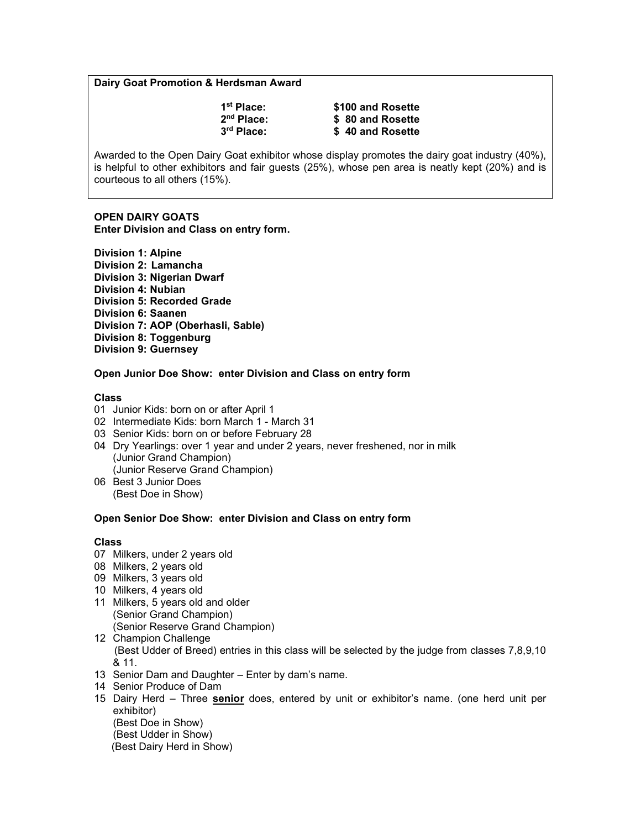#### **Dairy Goat Promotion & Herdsman Award**

| 1 <sup>st</sup> Place: | \$100 and Rosette |
|------------------------|-------------------|
| 2 <sup>nd</sup> Place: | \$80 and Rosette  |
| 3 <sup>rd</sup> Place: | \$40 and Rosette  |

Awarded to the Open Dairy Goat exhibitor whose display promotes the dairy goat industry (40%), is helpful to other exhibitors and fair guests (25%), whose pen area is neatly kept (20%) and is courteous to all others (15%).

#### **OPEN DAIRY GOATS Enter Division and Class on entry form.**

**Division 1: Alpine Division 2: Lamancha Division 3: Nigerian Dwarf Division 4: Nubian Division 5: Recorded Grade Division 6: Saanen Division 7: AOP (Oberhasli, Sable) Division 8: Toggenburg Division 9: Guernsey**

#### **Open Junior Doe Show: enter Division and Class on entry form**

#### **Class**

- 01 Junior Kids: born on or after April 1
- 02 Intermediate Kids: born March 1 March 31
- 03 Senior Kids: born on or before February 28
- 04 Dry Yearlings: over 1 year and under 2 years, never freshened, nor in milk (Junior Grand Champion) (Junior Reserve Grand Champion)
- 06 Best 3 Junior Does (Best Doe in Show)

#### **Open Senior Doe Show: enter Division and Class on entry form**

#### **Class**

- 07 Milkers, under 2 years old
- 08 Milkers, 2 years old
- 09 Milkers, 3 years old
- 10 Milkers, 4 years old
- 11 Milkers, 5 years old and older (Senior Grand Champion) (Senior Reserve Grand Champion)
- 12 Champion Challenge (Best Udder of Breed) entries in this class will be selected by the judge from classes 7,8,9,10 & 11.
- 13 Senior Dam and Daughter Enter by dam's name.
- 14 Senior Produce of Dam
- 15 Dairy Herd Three **senior** does, entered by unit or exhibitor's name. (one herd unit per exhibitor) (Best Doe in Show)

(Best Udder in Show) (Best Dairy Herd in Show)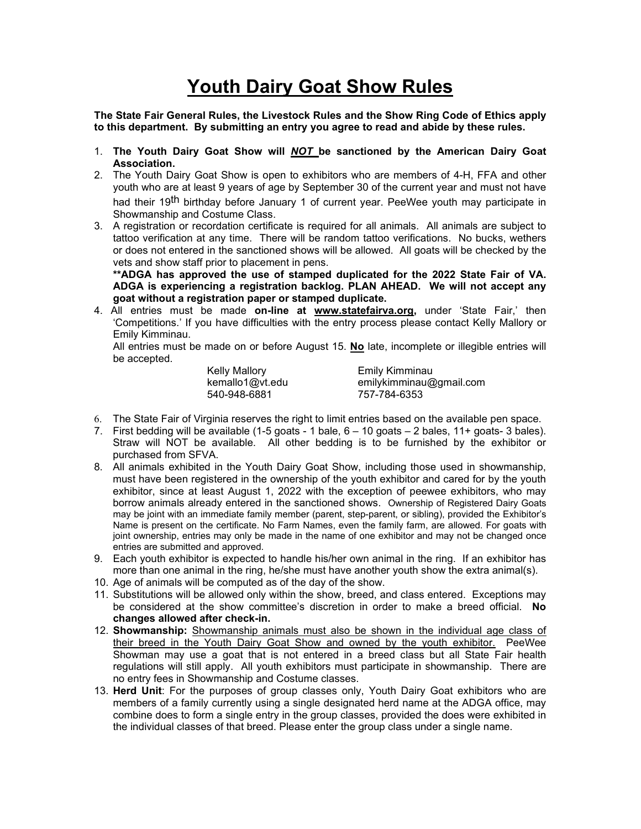# **Youth Dairy Goat Show Rules**

**The State Fair General Rules, the Livestock Rules and the Show Ring Code of Ethics apply to this department. By submitting an entry you agree to read and abide by these rules.**

- 1. **The Youth Dairy Goat Show will** *NOT* **be sanctioned by the American Dairy Goat Association.**
- 2. The Youth Dairy Goat Show is open to exhibitors who are members of 4-H, FFA and other youth who are at least 9 years of age by September 30 of the current year and must not have had their 19<sup>th</sup> birthday before January 1 of current year. PeeWee youth may participate in Showmanship and Costume Class.
- 3. A registration or recordation certificate is required for all animals. All animals are subject to tattoo verification at any time. There will be random tattoo verifications. No bucks, wethers or does not entered in the sanctioned shows will be allowed. All goats will be checked by the vets and show staff prior to placement in pens.

**\*\*ADGA has approved the use of stamped duplicated for the 2022 State Fair of VA. ADGA is experiencing a registration backlog. PLAN AHEAD. We will not accept any goat without a registration paper or stamped duplicate.** 

4. All entries must be made **on-line at www.statefairva.org,** under 'State Fair,' then 'Competitions.' If you have difficulties with the entry process please contact Kelly Mallory or Emily Kimminau.

All entries must be made on or before August 15. **No** late, incomplete or illegible entries will be accepted.

| <b>Kelly Mallory</b> | Emily Kimminau          |
|----------------------|-------------------------|
| kemallo1@vt.edu      | emilykimminau@gmail.com |
| 540-948-6881         | 757-784-6353            |

- 6. The State Fair of Virginia reserves the right to limit entries based on the available pen space.
- 7. First bedding will be available (1-5 goats 1 bale, 6 10 goats 2 bales, 11+ goats- 3 bales). Straw will NOT be available. All other bedding is to be furnished by the exhibitor or purchased from SFVA.
- 8. All animals exhibited in the Youth Dairy Goat Show, including those used in showmanship, must have been registered in the ownership of the youth exhibitor and cared for by the youth exhibitor, since at least August 1, 2022 with the exception of peewee exhibitors, who may borrow animals already entered in the sanctioned shows. Ownership of Registered Dairy Goats may be joint with an immediate family member (parent, step-parent, or sibling), provided the Exhibitor's Name is present on the certificate. No Farm Names, even the family farm, are allowed. For goats with joint ownership, entries may only be made in the name of one exhibitor and may not be changed once entries are submitted and approved.
- 9. Each youth exhibitor is expected to handle his/her own animal in the ring. If an exhibitor has more than one animal in the ring, he/she must have another youth show the extra animal(s).
- 10. Age of animals will be computed as of the day of the show.
- 11. Substitutions will be allowed only within the show, breed, and class entered. Exceptions may be considered at the show committee's discretion in order to make a breed official. **No changes allowed after check-in.**
- 12. **Showmanship:** Showmanship animals must also be shown in the individual age class of their breed in the Youth Dairy Goat Show and owned by the youth exhibitor. PeeWee Showman may use a goat that is not entered in a breed class but all State Fair health regulations will still apply. All youth exhibitors must participate in showmanship. There are no entry fees in Showmanship and Costume classes.
- 13. **Herd Unit**: For the purposes of group classes only, Youth Dairy Goat exhibitors who are members of a family currently using a single designated herd name at the ADGA office, may combine does to form a single entry in the group classes, provided the does were exhibited in the individual classes of that breed. Please enter the group class under a single name.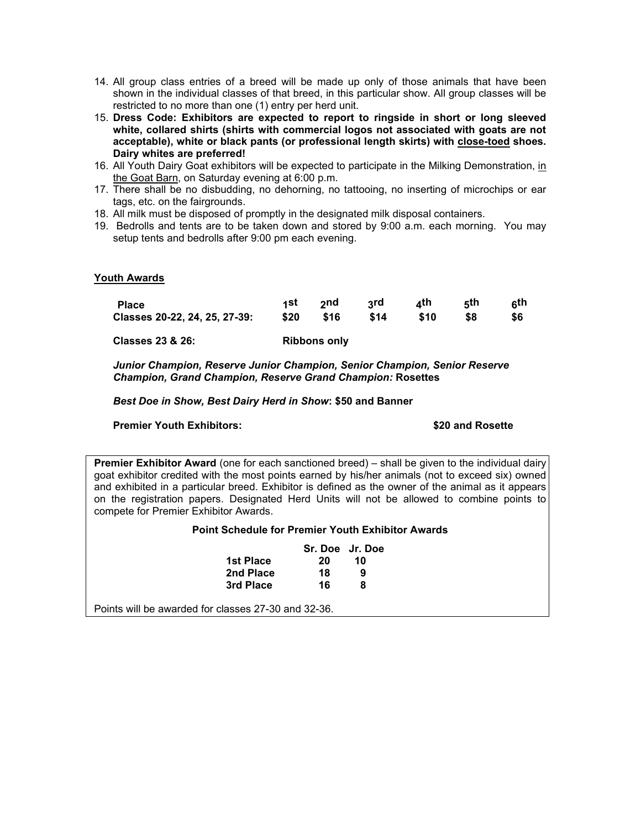- 14. All group class entries of a breed will be made up only of those animals that have been shown in the individual classes of that breed, in this particular show. All group classes will be restricted to no more than one (1) entry per herd unit.
- 15. **Dress Code: Exhibitors are expected to report to ringside in short or long sleeved white, collared shirts (shirts with commercial logos not associated with goats are not acceptable), white or black pants (or professional length skirts) with close-toed shoes. Dairy whites are preferred!**
- 16. All Youth Dairy Goat exhibitors will be expected to participate in the Milking Demonstration, in the Goat Barn, on Saturday evening at 6:00 p.m.
- 17. There shall be no disbudding, no dehorning, no tattooing, no inserting of microchips or ear tags, etc. on the fairgrounds.
- 18. All milk must be disposed of promptly in the designated milk disposal containers.
- 19. Bedrolls and tents are to be taken down and stored by 9:00 a.m. each morning. You may setup tents and bedrolls after 9:00 pm each evening.

#### **Youth Awards**

| <b>Place</b>                  | 1St  | ond.         | २rd  | ⊿th  | 5th | ດth |
|-------------------------------|------|--------------|------|------|-----|-----|
| Classes 20-22, 24, 25, 27-39: | \$20 | \$16         | \$14 | \$10 | \$8 | \$6 |
| <b>Classes 23 &amp; 26:</b>   |      | Ribbons only |      |      |     |     |

*Junior Champion, Reserve Junior Champion, Senior Champion, Senior Reserve Champion, Grand Champion, Reserve Grand Champion:* **Rosettes** 

*Best Doe in Show, Best Dairy Herd in Show***: \$50 and Banner**

#### **Premier Youth Exhibitors: \$20 and Rosette**

**Premier Exhibitor Award** (one for each sanctioned breed) – shall be given to the individual dairy goat exhibitor credited with the most points earned by his/her animals (not to exceed six) owned and exhibited in a particular breed. Exhibitor is defined as the owner of the animal as it appears on the registration papers. Designated Herd Units will not be allowed to combine points to compete for Premier Exhibitor Awards.

#### **Point Schedule for Premier Youth Exhibitor Awards**

| Sr. Doe Jr. Doe |
|-----------------|
|                 |
|                 |
|                 |
|                 |

Points will be awarded for classes 27-30 and 32-36.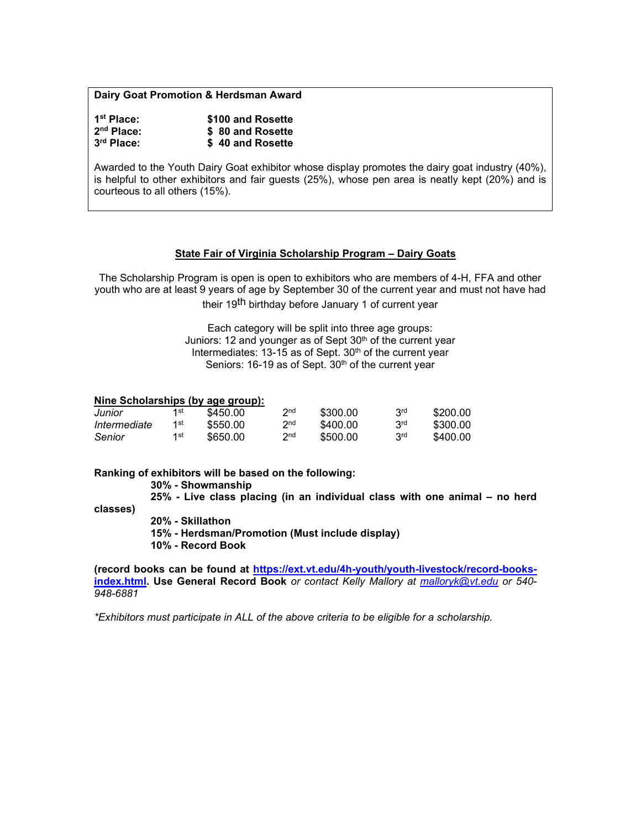#### **Dairy Goat Promotion & Herdsman Award**

| 1 <sup>st</sup> Place: | \$100 and Rosette |
|------------------------|-------------------|
| $2nd$ Place:           | \$ 80 and Rosette |
| 3rd Place:             | \$40 and Rosette  |

Awarded to the Youth Dairy Goat exhibitor whose display promotes the dairy goat industry (40%), is helpful to other exhibitors and fair guests (25%), whose pen area is neatly kept (20%) and is courteous to all others (15%).

#### **State Fair of Virginia Scholarship Program – Dairy Goats**

The Scholarship Program is open is open to exhibitors who are members of 4-H, FFA and other youth who are at least 9 years of age by September 30 of the current year and must not have had their 19<sup>th</sup> birthday before January 1 of current year

> Each category will be split into three age groups: Juniors: 12 and younger as of Sept 30<sup>th</sup> of the current year Intermediates: 13-15 as of Sept. 30<sup>th</sup> of the current year Seniors: 16-19 as of Sept. 30<sup>th</sup> of the current year

#### **Nine Scholarships (by age group):**

| Junior       | 1st | \$450.00 | 2nd             | \$300.00 | 3 <sup>rd</sup> | \$200.00 |
|--------------|-----|----------|-----------------|----------|-----------------|----------|
| Intermediate | 1st | \$550.00 | 2 <sub>nd</sub> | \$400.00 | 3 <sup>rd</sup> | \$300.00 |
| Senior       | 1st | \$650.00 | 2 <sub>nd</sub> | \$500.00 | 3 <sup>rd</sup> | \$400.00 |

#### **Ranking of exhibitors will be based on the following:**

**30% - Showmanship**

**25% - Live class placing (in an individual class with one animal – no herd** 

**classes)**

**20% - Skillathon**

**15% - Herdsman/Promotion (Must include display)**

**10% - Record Book** 

**(record books can be found at [https://ext.vt.edu/4h-youth/youth-livestock/record-books](https://ext.vt.edu/4h-youth/youth-livestock/record-books-index.html)[index.html.](https://ext.vt.edu/4h-youth/youth-livestock/record-books-index.html) Use General Record Book** *or contact Kelly Mallory at [malloryk@vt.edu](mailto:malloryk@vt.edu) or 540- 948-6881* 

*\*Exhibitors must participate in ALL of the above criteria to be eligible for a scholarship.*